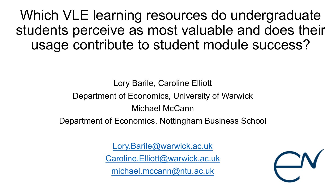Which VLE learning resources do undergraduate students perceive as most valuable and does their usage contribute to student module success?

> Lory Barile, Caroline Elliott Department of Economics, University of Warwick Michael McCann

Department of Economics, Nottingham Business School

[Lory.Barile@warwick.ac.uk](mailto:Lory.Barile@warwick.ac.uk)

[Caroline.Elliott@warwick.ac.uk](mailto:Caroline.Elliott@warwick.ac.uk)

[michael.mccann@ntu.ac.uk](mailto:michael.mccann@ntu.ac.uk)

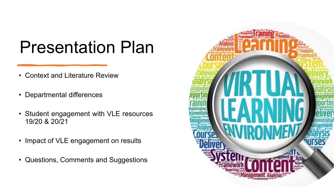## Presentation Plan

- Context and Literature Review
- Departmental differences
- Student engagement with VLE resources 19/20 & 20/21
- Impact of VLE engagement on results
- Questions, Comments and Suggestions

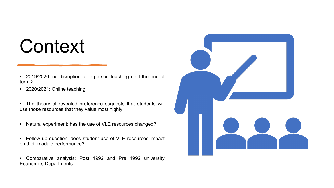# **Context**

- 2019/2020: no disruption of in-person teaching until the end of term 2
- 2020/2021: Online teaching
- The theory of revealed preference suggests that students will use those resources that they value most highly
- Natural experiment: has the use of VLE resources changed?
- Follow up question: does student use of VLE resources impact on their module performance?
- Comparative analysis: Post 1992 and Pre 1992 university Economics Departments

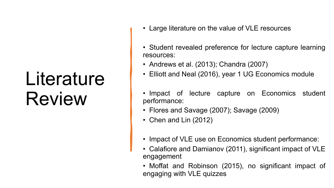# Literature Review

- Large literature on the value of VLE resources
- Student revealed preference for lecture capture learning resources:
- Andrews et al. (2013); Chandra (2007)
- Elliott and Neal (2016), year 1 UG Economics module
- Impact of lecture capture on Economics student performance:
- Flores and Savage (2007); Savage (2009)
- Chen and Lin (2012)
- Impact of VLE use on Economics student performance:
- Calafiore and Damianov (2011), significant impact of VLE engagement
- Moffat and Robinson (2015), no significant impact of engaging with VLE quizzes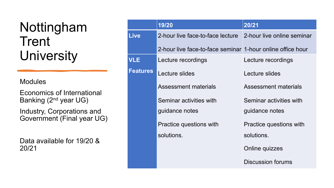#### Nottingham **Trent University**

**Modules** 

Economics of International Banking (2nd year UG)

Industry, Corporations and Government (Final year UG)

Data available for 19/20 & 20/21

|                 | 19/20                                                      | 20/21                      |
|-----------------|------------------------------------------------------------|----------------------------|
| <b>Live</b>     | 2-hour live face-to-face lecture                           | 2-hour live online seminar |
|                 | 2-hour live face-to-face seminar 1-hour online office hour |                            |
| <b>VLE</b>      | Lecture recordings                                         | Lecture recordings         |
| <b>Features</b> | Lecture slides                                             | Lecture slides             |
|                 | <b>Assessment materials</b>                                | Assessment materials       |
|                 | Seminar activities with                                    | Seminar activities with    |
|                 | guidance notes                                             | guidance notes             |
|                 | Practice questions with                                    | Practice questions with    |
|                 | solutions.                                                 | solutions.                 |
|                 |                                                            | Online quizzes             |
|                 |                                                            | Discussion forums          |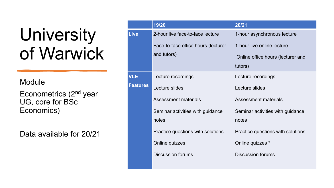# University of Warwick

**Module** 

Econometrics (2nd year UG, core for BSc Economics)

Data available for 20/21

|                 | 19/20                               | 20/21                             |
|-----------------|-------------------------------------|-----------------------------------|
| <b>Live</b>     | 2-hour live face-to-face lecture    | 1-hour asynchronous lecture       |
|                 | Face-to-face office hours (lecturer | 1-hour live online lecture        |
|                 | and tutors)                         | Online office hours (lecturer and |
|                 |                                     | tutors)                           |
| <b>VLE</b>      | Lecture recordings                  | Lecture recordings                |
| <b>Features</b> | Lecture slides                      | Lecture slides                    |
|                 | Assessment materials                | <b>Assessment materials</b>       |
|                 | Seminar activities with guidance    | Seminar activities with guidance  |
|                 | notes                               | notes                             |
|                 | Practice questions with solutions   | Practice questions with solutions |
|                 | Online quizzes                      | Online quizzes *                  |
|                 | <b>Discussion forums</b>            | <b>Discussion forums</b>          |
|                 |                                     |                                   |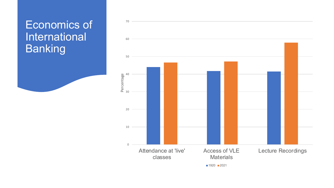#### Economics of International Banking

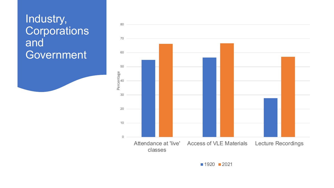#### Industry, **Corporations** and Government



 $1920$  2021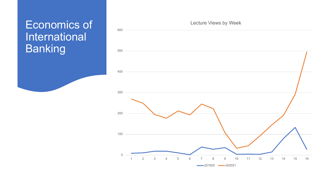#### Economics of International Banking



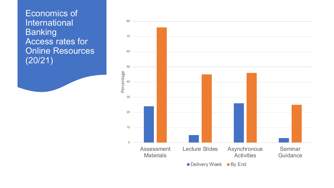Economics of International Banking Access rates for Online Resources (20/21)

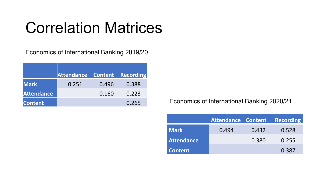## Correlation Matrices

Economics of International Banking 2019/20

|                   | <b>Attendance</b> | <b>Content</b> | <b>Recording</b> |
|-------------------|-------------------|----------------|------------------|
| <b>Mark</b>       | 0.251             | 0.496          | 0.388            |
| <b>Attendance</b> |                   | 0.160          | 0.223            |
| <b>Content</b>    |                   |                | 0.265            |

Economics of International Banking 2020/21

|                   | Attendance Content |       | <b>Recording</b> |
|-------------------|--------------------|-------|------------------|
| Mark              | 0.494              | 0.432 | 0.528            |
| <b>Attendance</b> |                    | 0.380 | 0.255            |
| <b>Content</b>    |                    |       | 0.387            |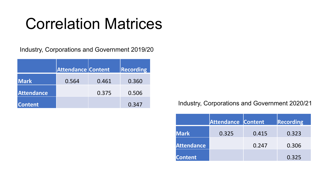## Correlation Matrices

Industry, Corporations and Government 2019/20

|                   | <b>Attendance Content</b> |       | $\ $ Recording |
|-------------------|---------------------------|-------|----------------|
| <b>Mark</b>       | 0.564                     | 0.461 | 0.360          |
| <b>Attendance</b> |                           | 0.375 | 0.506          |
| <b>Content</b>    |                           |       | 0.347          |

#### Industry, Corporations and Government 2020/21

|                   | <b>Attendance Content</b> |       | Recording |
|-------------------|---------------------------|-------|-----------|
| <b>Mark</b>       | 0.325                     | 0.415 | 0.323     |
| <b>Attendance</b> |                           | 0.247 | 0.306     |
| <b>Content</b>    |                           |       | 0.325     |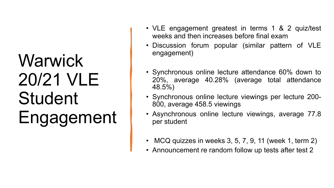# **Warwick** 20/21 VLE Student Engagement

- VLE engagement greatest in terms 1 & 2 quiz/test weeks and then increases before final exam
- Discussion forum popular (similar pattern of VLE engagement)
- Synchronous online lecture attendance 60% down to 20%, average 40.28% (average total attendance 48.5%)
- Synchronous online lecture viewings per lecture 200- 800, average 458.5 viewings
- Asynchronous online lecture viewings, average 77.8 per student
- MCQ quizzes in weeks 3, 5, 7, 9, 11 (week 1, term 2)
- Announcement re random follow up tests after test 2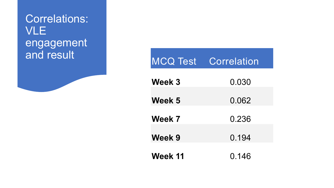### Correlations: VLE engagement

| and result |                | <b>MCQ Test Correlation</b> |
|------------|----------------|-----------------------------|
|            | Week 3         | 0.030                       |
|            | Week 5         | 0.062                       |
|            | Week 7         | 0.236                       |
|            | Week 9         | 0.194                       |
|            | <b>Week 11</b> | 0.146                       |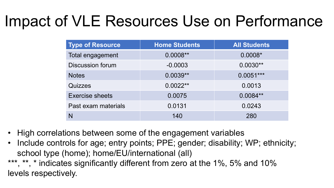## Impact of VLE Resources Use on Performance

| <b>Type of Resource</b> | <b>Home Students</b> | <b>All Students</b> |
|-------------------------|----------------------|---------------------|
| Total engagement        | $0.0008**$           | $0.0008*$           |
| <b>Discussion forum</b> | $-0.0003$            | $0.0030**$          |
| <b>Notes</b>            | $0.0039**$           | $0.0051***$         |
| <b>Quizzes</b>          | $0.0022**$           | 0.0013              |
| <b>Exercise sheets</b>  | 0.0075               | $0.0084**$          |
| Past exam materials     | 0.0131               | 0.0243              |
|                         | 140                  | 280                 |

- High correlations between some of the engagement variables
- Include controls for age; entry points; PPE; gender; disability; WP; ethnicity; school type (home); home/EU/international (all)

\*\*\*, \*\*, \* indicates significantly different from zero at the 1%, 5% and 10% levels respectively.